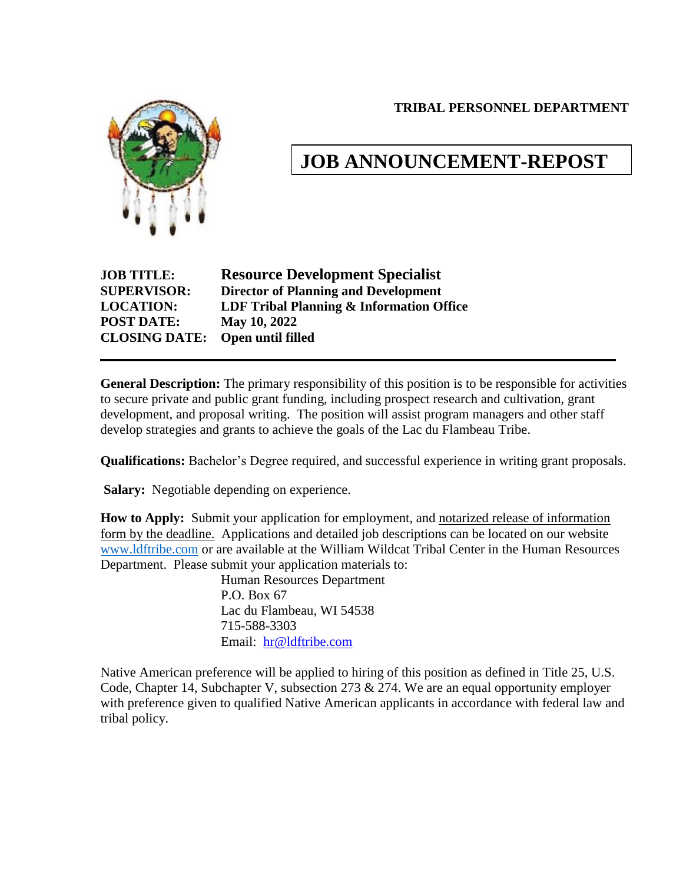**TRIBAL PERSONNEL DEPARTMENT**



# **JOB ANNOUNCEMENT-REPOST**

| <b>Resource Development Specialist</b>      |
|---------------------------------------------|
| <b>Director of Planning and Development</b> |
| LDF Tribal Planning & Information Office    |
| May 10, 2022                                |
| Open until filled                           |
|                                             |

**General Description:** The primary responsibility of this position is to be responsible for activities to secure private and public grant funding, including prospect research and cultivation, grant development, and proposal writing. The position will assist program managers and other staff develop strategies and grants to achieve the goals of the Lac du Flambeau Tribe.

**Qualifications:** Bachelor's Degree required, and successful experience in writing grant proposals.

**Salary:** Negotiable depending on experience.

**How to Apply:** Submit your application for employment, and notarized release of information form by the deadline. Applications and detailed job descriptions can be located on our website [www.ldftribe.com](http://www.ldftribe.com/) or are available at the William Wildcat Tribal Center in the Human Resources Department. Please submit your application materials to:

> Human Resources Department P.O. Box 67 Lac du Flambeau, WI 54538 715-588-3303 Email: [hr@ldftribe.com](mailto:hr@ldftribe.com)

Native American preference will be applied to hiring of this position as defined in Title 25, U.S. Code, Chapter 14, Subchapter V, subsection 273 & 274. We are an equal opportunity employer with preference given to qualified Native American applicants in accordance with federal law and tribal policy.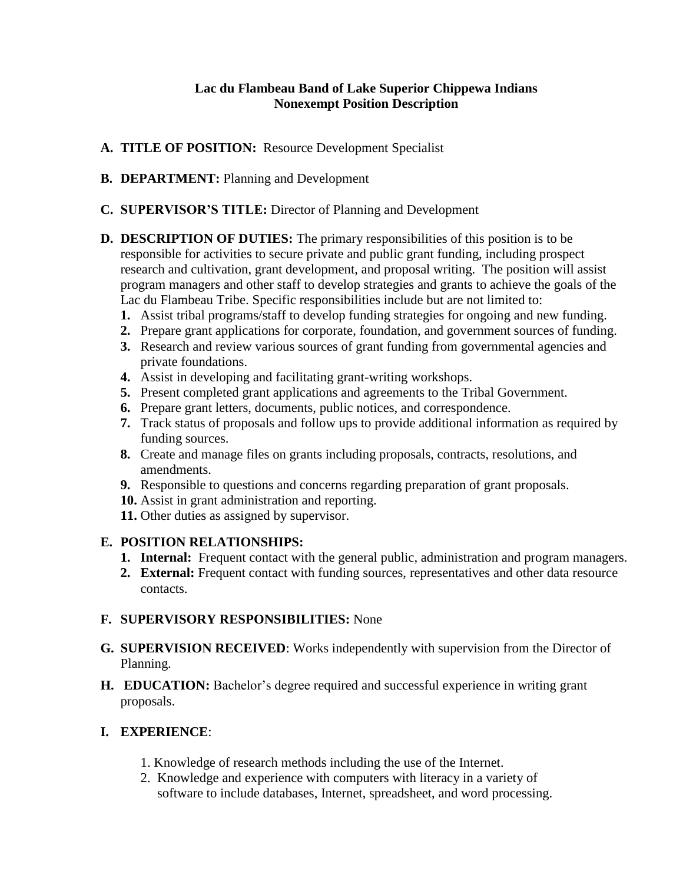#### **Lac du Flambeau Band of Lake Superior Chippewa Indians Nonexempt Position Description**

- **A. TITLE OF POSITION:** Resource Development Specialist
- **B. DEPARTMENT:** Planning and Development
- **C. SUPERVISOR'S TITLE:** Director of Planning and Development
- **D. DESCRIPTION OF DUTIES:** The primary responsibilities of this position is to be responsible for activities to secure private and public grant funding, including prospect research and cultivation, grant development, and proposal writing. The position will assist program managers and other staff to develop strategies and grants to achieve the goals of the Lac du Flambeau Tribe. Specific responsibilities include but are not limited to:
	- **1.** Assist tribal programs/staff to develop funding strategies for ongoing and new funding.
	- **2.** Prepare grant applications for corporate, foundation, and government sources of funding.
	- **3.** Research and review various sources of grant funding from governmental agencies and private foundations.
	- **4.** Assist in developing and facilitating grant-writing workshops.
	- **5.** Present completed grant applications and agreements to the Tribal Government.
	- **6.** Prepare grant letters, documents, public notices, and correspondence.
	- **7.** Track status of proposals and follow ups to provide additional information as required by funding sources.
	- **8.** Create and manage files on grants including proposals, contracts, resolutions, and amendments.
	- **9.** Responsible to questions and concerns regarding preparation of grant proposals.
	- **10.** Assist in grant administration and reporting.
	- **11.** Other duties as assigned by supervisor.

#### **E. POSITION RELATIONSHIPS:**

- **1. Internal:** Frequent contact with the general public, administration and program managers.
- **2. External:** Frequent contact with funding sources, representatives and other data resource contacts.

#### **F. SUPERVISORY RESPONSIBILITIES:** None

- **G. SUPERVISION RECEIVED**: Works independently with supervision from the Director of Planning.
- **H. EDUCATION:** Bachelor's degree required and successful experience in writing grant proposals.

## **I. EXPERIENCE**:

- 1. Knowledge of research methods including the use of the Internet.
- 2. Knowledge and experience with computers with literacy in a variety of software to include databases, Internet, spreadsheet, and word processing.